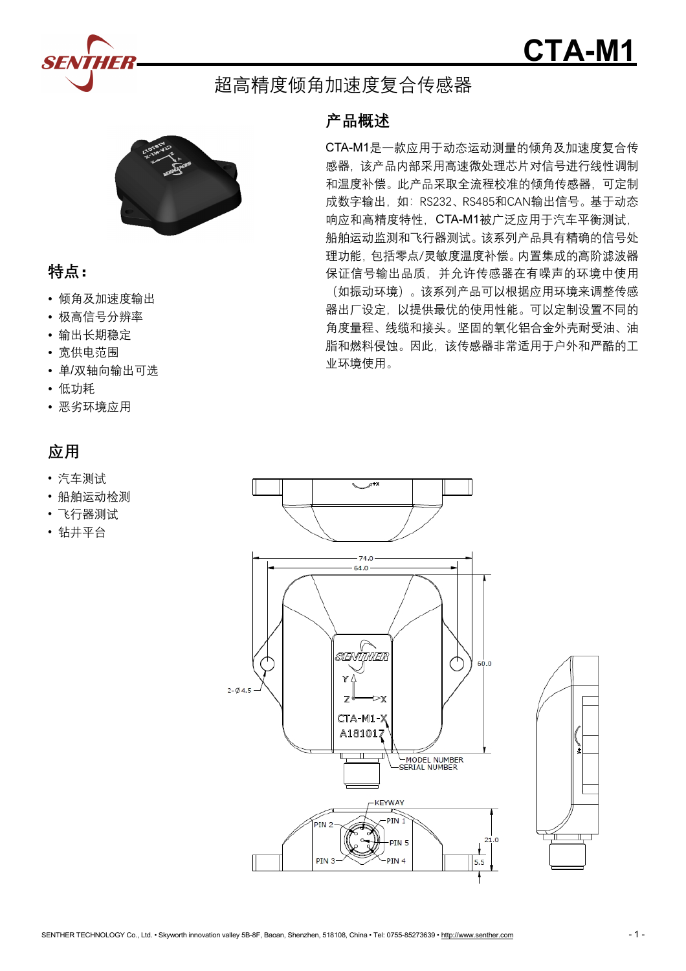



# 超高精度倾角加速度复合传感器



## **特点:**

- 倾角及加速度输出
- 极高信号分辨率
- 输出长期稳定
- 宽供电范围
- 单/双轴向输出可选
- 低功耗
- 恶劣环境应用

# **应用**

- 汽车测试
- 船舶运动检测
- 飞行器测试
- 钻井平台

### **产品概述**

CTA-M1是一款应用于动态运动测量的倾角及加速度复合传 感器,该产品内部采用高速微处理芯片对信号进行线性调制 和温度补偿。此产品采取全流程校准的倾角传感器,可定制 成数字输出,如: RS232、RS485和CAN输出信号。基于动态 响应和高精度特性,CTA-M1被广泛应用于汽车平衡测试, 船舶运动监测和飞行器测试。该系列产品具有精确的信号处 理功能,包括零点/灵敏度温度补偿。内置集成的高阶滤波器 保证信号输出品质,并允许传感器在有噪声的环境中使用 (如振动环境)。该系列产品可以根据应用环境来调整传感 器出厂设定,以提供最优的使用性能。可以定制设置不同的 角度量程、线缆和接头。坚固的氧化铝合金外壳耐受油、油 脂和燃料侵蚀。因此,该传感器非常适用于户外和严酷的工 业环境使用。



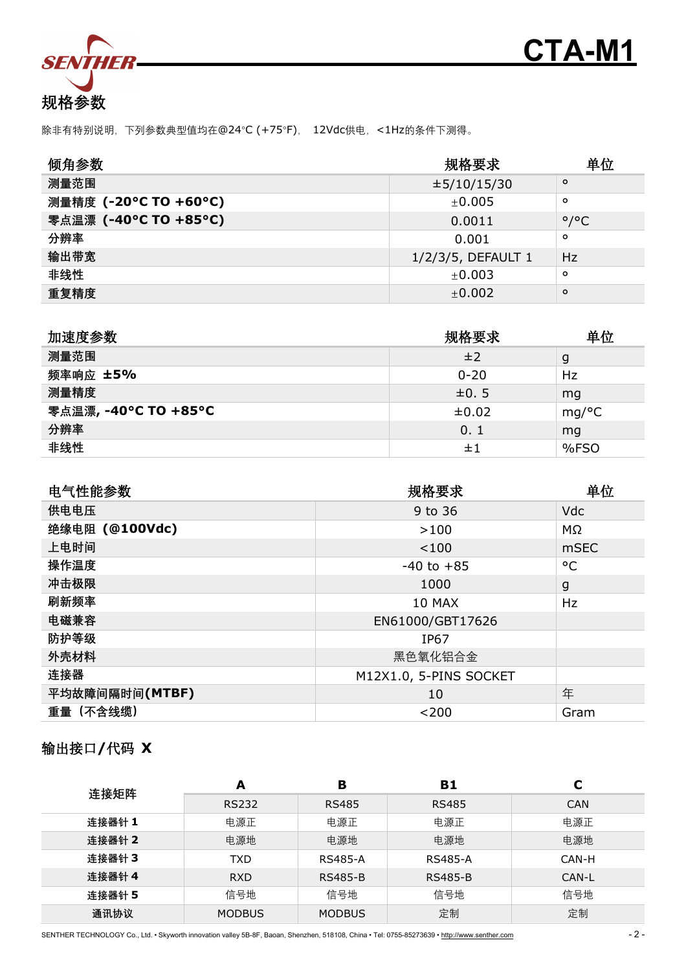



除非有特别说明,下列参数典型值均在@24°C (+75°F), 12Vdc供电,<1Hz的条件下测得。

| 倾角参数                  | 规格要求               |                     |  |
|-----------------------|--------------------|---------------------|--|
| 测量范围                  | $\pm 5/10/15/30$   | $\circ$             |  |
| 测量精度 (-20°C TO +60°C) | ±0.005             | $\circ$             |  |
| 零点温漂 (-40°C TO +85°C) | 0.0011             | $\circ$ / $\circ$ C |  |
| 分辨率                   | 0.001              | $\circ$             |  |
| 输出带宽                  | 1/2/3/5, DEFAULT 1 | <b>Hz</b>           |  |
| 非线性                   | ±0.003             | $\circ$             |  |
| 重复精度                  | ±0.002             | $\circ$             |  |

| 加速度参数                | 规格要求       | 单位   |
|----------------------|------------|------|
| 测量范围                 | ±2         | g    |
| 频率响应 ±5%             | $0 - 20$   | Hz   |
| 测量精度                 | $\pm 0.5$  | mq   |
| 零点温漂, -40°C TO +85°C | $\pm 0.02$ | mg/C |
| 分辨率                  | 0.1        | mg   |
| 非线性                  | ±1         | %FSO |

| 电气性能参数         | 规格要求                   | 单位        |
|----------------|------------------------|-----------|
| 供电电压           | 9 to 36                | Vdc       |
| 绝缘电阻 (@100Vdc) | >100                   | $M\Omega$ |
| 上电时间           | < 100                  | mSEC      |
| 操作温度           | $-40$ to $+85$         | °C        |
| 冲击极限           | 1000                   | g         |
| 刷新频率           | 10 MAX                 | Hz        |
| 电磁兼容           | EN61000/GBT17626       |           |
| 防护等级           | <b>IP67</b>            |           |
| 外壳材料           | 黑色氧化铝合金                |           |
| 连接器            | M12X1.0, 5-PINS SOCKET |           |
| 平均故障间隔时间(MTBF) | 10                     | 年         |
| 重量 (不含线缆)      | < 200                  | Gram      |

## 输出接口**/**代码 **X**

| 连接矩阵   | A             | в              | B1             | ⊾          |
|--------|---------------|----------------|----------------|------------|
|        | <b>RS232</b>  | <b>RS485</b>   | <b>RS485</b>   | <b>CAN</b> |
| 连接器针 1 | 电源正           | 电源正            | 电源正            | 电源正        |
| 连接器针 2 | 电源地           | 电源地            | 电源地            | 电源地        |
| 连接器针 3 | <b>TXD</b>    | <b>RS485-A</b> | <b>RS485-A</b> | CAN-H      |
| 连接器针 4 | <b>RXD</b>    | <b>RS485-B</b> | <b>RS485-B</b> | CAN-L      |
| 连接器针 5 | 信号地           | 信号地            | 信号地            | 信号地        |
| 通讯协议   | <b>MODBUS</b> | <b>MODBUS</b>  | 定制             | 定制         |

SENTHER TECHNOLOGY Co., Ltd. • Skyworth innovation valley 5B-8F, Baoan, Shenzhen, 518108, China • Tel: 0755-85273639 • <http://www.senther.com> - 2 -